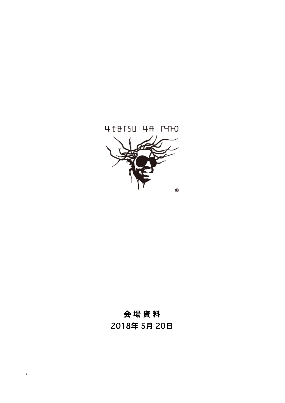# 4 f B ISU 4 R PHO  $^\circledR$

# 会 場 資 料

2018年 5月 20日

1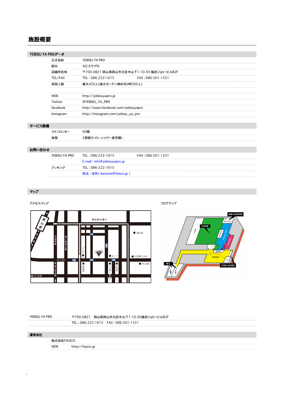### 施設概要

| YEBISU YA PROデータ |           |                                          |
|------------------|-----------|------------------------------------------|
|                  | 正式名称      | YEBISU YA PRO                            |
|                  | 読み        | エビスヤブロ                                   |
|                  | 店舗所在地     | 〒700-0821 岡山県岡山市北区中山下1-10-30 福武ジョリービルB2F |
|                  | TEL/FAX   | TEL: 086-222-1015<br>FAX: 086-201-1531   |
|                  | 収容人数      | 最大420人(後方カーテン締め切り時300人)                  |
|                  |           |                                          |
|                  | WEB       | http://yebisuyapro.jp                    |
|                  | Twitter   | @YEBISU YA PRO                           |
|                  | facebook  | http://www.facebook.com/yebisuyapro      |
|                  | Instagram | http://instagram.com/yebisu_ya_pro       |
|                  |           |                                          |
| サービス設備           |           |                                          |
|                  | コインロッカー   | 60個                                      |
|                  | 楽屋        | 2部屋(トイレ・シャワー室完備)                         |

#### お問い合わせ

| YEBISU YA PRO | TEL : 086-222-1015           | FAX: 086-201-1531 |
|---------------|------------------------------|-------------------|
|               | E-mail: info@yebisuyapro.jp  |                   |
| ブッキング         | TEL: 086-222-1015            |                   |
|               | 担当 : 池宗( ikemune@fiasco.jp ) |                   |

#### マップ







2

YEBISU YA PRO - テ700-0821 岡山県岡山市北区中山下1-10-30福武ジョリービルB2F

| 運営会社 |            |                  |
|------|------------|------------------|
|      | 株式会社FIASCO |                  |
|      | WEB        | http://fiasco.jp |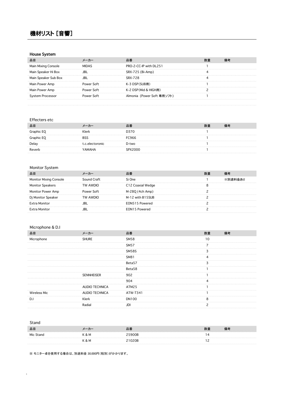# 機材リスト [音響]

#### House System

| 品目                     |            |                            |  |
|------------------------|------------|----------------------------|--|
| Mixina Console<br>Mail | אמר        | PRO-2-CC-IP with DL251     |  |
| Main Speaker Hi Box    |            | SRX-725 (Bi-Amp)           |  |
| Main Speaker Sub Box   |            | <b>SRX-728</b>             |  |
| Main Power Amp         | Power Soft | K-3 DSP(SUB用)              |  |
| Main Power Amp         | Power Soft | K-2 DSP(Mid & HIGH用)       |  |
| em Processor           | Power Soft | Almonia (Power Soft 専用ソフト) |  |
|                        |            |                            |  |

#### Effecters etc

| 品目         |                 |                   |  |
|------------|-----------------|-------------------|--|
|            | Klerk           | D370              |  |
| Graphic EO |                 | C966 <sup>:</sup> |  |
| Delay      | t.c.electoronic | D-two             |  |
| Reverb     | аМАНА           | ንአንባባሀ            |  |

#### Monitor System

| 品目                            |             |                   |  |
|-------------------------------|-------------|-------------------|--|
| <b>Monitor Mixing Console</b> | Sound Craft | Si One-           |  |
| kers                          | TW AWDIO    | C12 Coaxial Wedge |  |
| Monitor Power Amp             | Power Soft  | M-280 (4ch Amp)   |  |
| peaker                        | TW AWDIO    | M-12 with B15SUB  |  |
| <b>Extra Monitor</b>          |             | EON515 Powered    |  |
|                               |             | IN15 Powered      |  |

#### Microphone & D.I

| 品目                  | メーカー                  | 品番           | 数量 | 備考 |
|---------------------|-----------------------|--------------|----|----|
| Microphone          | <b>SHURE</b>          | <b>SM58</b>  | 10 |    |
|                     |                       | <b>SM57</b>  |    |    |
|                     |                       | <b>SM58S</b> |    |    |
|                     |                       | <b>SM81</b>  |    |    |
|                     |                       | Beta57       |    |    |
|                     |                       | Beta58       |    |    |
|                     | <b>SENNHEISER</b>     | 902          |    |    |
|                     |                       | 904          |    |    |
|                     | <b>AUDIO TECHNICA</b> | ATM25        |    |    |
| <b>Wireless Mic</b> | AUDIO TECHNICA        | ATW-T341     |    |    |
| D.I                 | Klerk                 | <b>DN100</b> |    |    |
|                     | Radial                | .IDI         |    |    |
|                     |                       |              |    |    |

#### Stand

3

| 品目        |  |  |
|-----------|--|--|
| Mic Stane |  |  |
|           |  |  |

※ モニター卓を使用する場合は、別途料金 30,000円(税別)がかかります。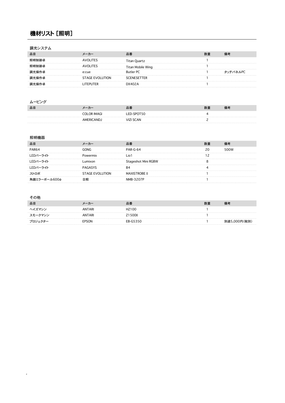# 機材リスト [照明]

#### 調光システム

|                        |                 | Titan Mobile Wing |         |
|------------------------|-----------------|-------------------|---------|
| 光操作卓                   |                 | <b>Butler PC</b>  | /チパネルPC |
| f.操作卓                  | STAGE EVOLUTION | NESETTER          |         |
| ド 操作 卓 トクア かんじょう かんしょう |                 |                   |         |

#### ムービング

| 品目 | —                 | 品番          | 数量 | 师气        |
|----|-------------------|-------------|----|-----------|
|    | COLOR IMAGI       | ED-SPOT50   |    | --------- |
|    | <b>AMERICANDJ</b> | <b>SCAN</b> |    |           |

#### 照明機器

| PAR64        | GONG            | 2AR-G-64            | 500W |
|--------------|-----------------|---------------------|------|
| LEDパーライト     |                 |                     |      |
| LEDパーライト     |                 | Stageshot Mini RGBW |      |
| LEDパーライト     |                 |                     |      |
| ストロボ         | STAGE EVOLUTION | STROBE II           |      |
| 角鏡ミラーボール600φ |                 | 1R-3207P            |      |

#### その他

4

| 品目 |      |  |  |
|----|------|--|--|
|    |      |  |  |
|    |      |  |  |
|    | SON. |  |  |